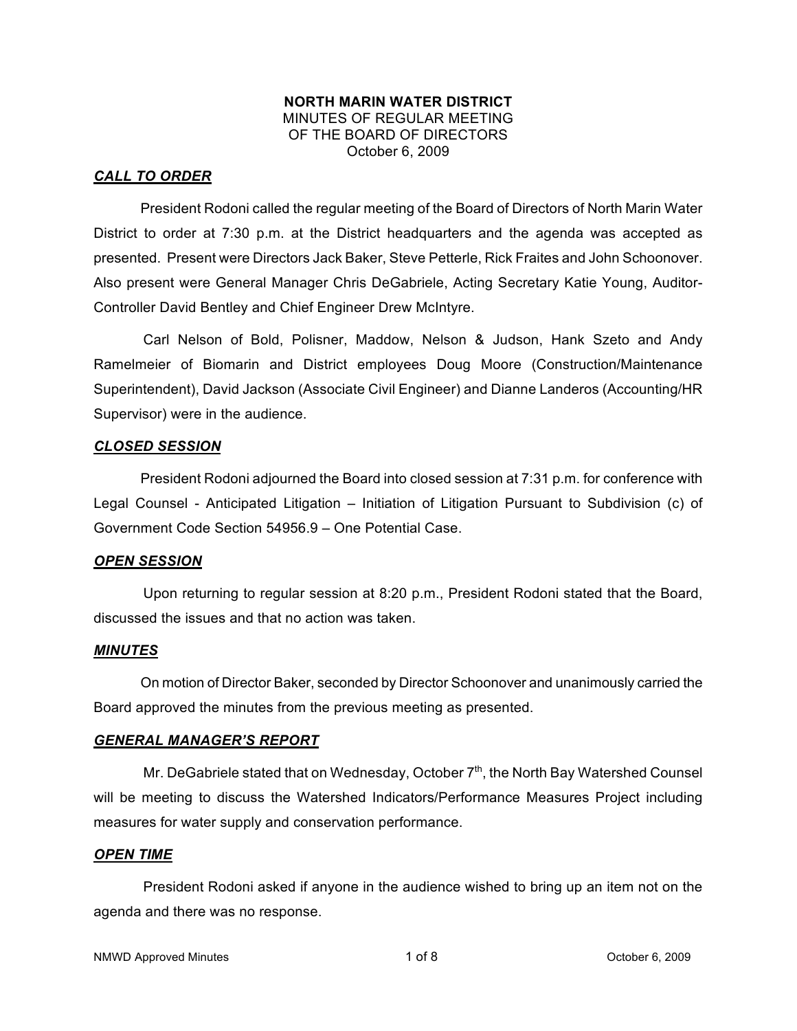#### **NORTH MARIN WATER DISTRICT** MINUTES OF REGULAR MEETING OF THE BOARD OF DIRECTORS October 6, 2009

## *CALL TO ORDER*

President Rodoni called the regular meeting of the Board of Directors of North Marin Water District to order at 7:30 p.m. at the District headquarters and the agenda was accepted as presented. Present were Directors Jack Baker, Steve Petterle, Rick Fraites and John Schoonover. Also present were General Manager Chris DeGabriele, Acting Secretary Katie Young, Auditor-Controller David Bentley and Chief Engineer Drew McIntyre.

Carl Nelson of Bold, Polisner, Maddow, Nelson & Judson, Hank Szeto and Andy Ramelmeier of Biomarin and District employees Doug Moore (Construction/Maintenance Superintendent), David Jackson (Associate Civil Engineer) and Dianne Landeros (Accounting/HR Supervisor) were in the audience.

### *CLOSED SESSION*

President Rodoni adjourned the Board into closed session at 7:31 p.m. for conference with Legal Counsel - Anticipated Litigation – Initiation of Litigation Pursuant to Subdivision (c) of Government Code Section 54956.9 – One Potential Case.

## *OPEN SESSION*

Upon returning to regular session at 8:20 p.m., President Rodoni stated that the Board, discussed the issues and that no action was taken.

## *MINUTES*

On motion of Director Baker, seconded by Director Schoonover and unanimously carried the Board approved the minutes from the previous meeting as presented.

## *GENERAL MANAGER'S REPORT*

Mr. DeGabriele stated that on Wednesday, October  $7<sup>th</sup>$ , the North Bay Watershed Counsel will be meeting to discuss the Watershed Indicators/Performance Measures Project including measures for water supply and conservation performance.

#### *OPEN TIME*

President Rodoni asked if anyone in the audience wished to bring up an item not on the agenda and there was no response.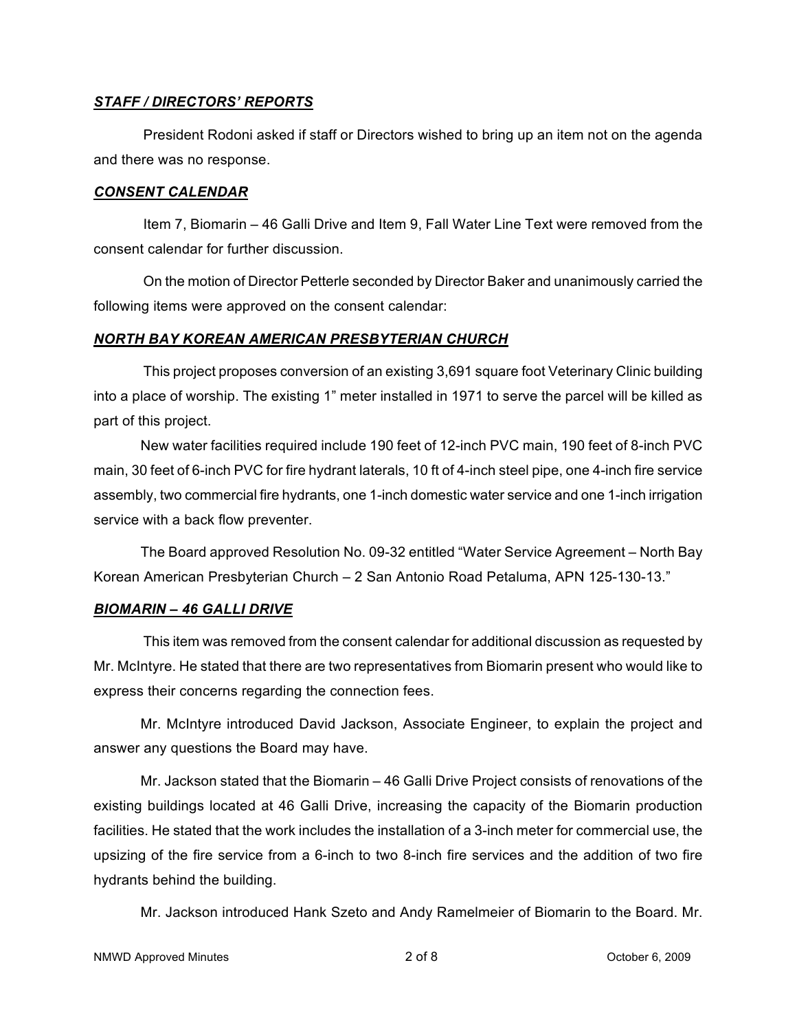## *STAFF / DIRECTORS' REPORTS*

President Rodoni asked if staff or Directors wished to bring up an item not on the agenda and there was no response.

### *CONSENT CALENDAR*

Item 7, Biomarin – 46 Galli Drive and Item 9, Fall Water Line Text were removed from the consent calendar for further discussion.

On the motion of Director Petterle seconded by Director Baker and unanimously carried the following items were approved on the consent calendar:

## *NORTH BAY KOREAN AMERICAN PRESBYTERIAN CHURCH*

This project proposes conversion of an existing 3,691 square foot Veterinary Clinic building into a place of worship. The existing 1" meter installed in 1971 to serve the parcel will be killed as part of this project.

New water facilities required include 190 feet of 12-inch PVC main, 190 feet of 8-inch PVC main, 30 feet of 6-inch PVC for fire hydrant laterals, 10 ft of 4-inch steel pipe, one 4-inch fire service assembly, two commercial fire hydrants, one 1-inch domestic water service and one 1-inch irrigation service with a back flow preventer.

The Board approved Resolution No. 09-32 entitled "Water Service Agreement – North Bay Korean American Presbyterian Church – 2 San Antonio Road Petaluma, APN 125-130-13."

## *BIOMARIN – 46 GALLI DRIVE*

This item was removed from the consent calendar for additional discussion as requested by Mr. McIntyre. He stated that there are two representatives from Biomarin present who would like to express their concerns regarding the connection fees.

Mr. McIntyre introduced David Jackson, Associate Engineer, to explain the project and answer any questions the Board may have.

Mr. Jackson stated that the Biomarin – 46 Galli Drive Project consists of renovations of the existing buildings located at 46 Galli Drive, increasing the capacity of the Biomarin production facilities. He stated that the work includes the installation of a 3-inch meter for commercial use, the upsizing of the fire service from a 6-inch to two 8-inch fire services and the addition of two fire hydrants behind the building.

Mr. Jackson introduced Hank Szeto and Andy Ramelmeier of Biomarin to the Board. Mr.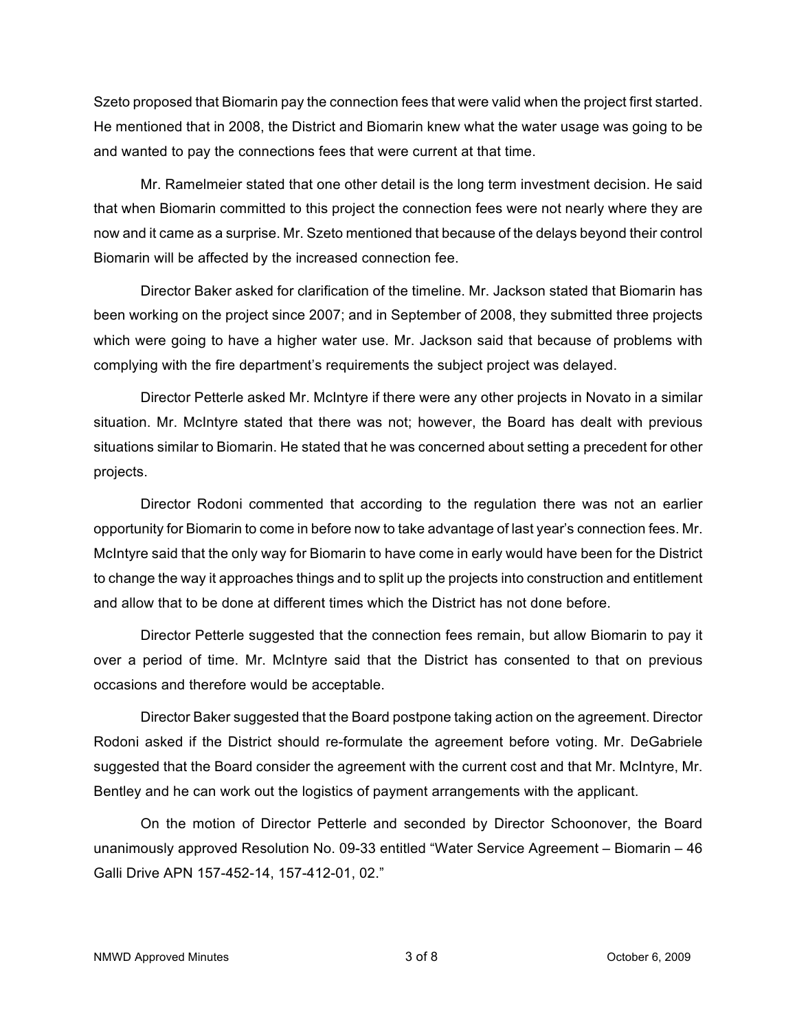Szeto proposed that Biomarin pay the connection fees that were valid when the project first started. He mentioned that in 2008, the District and Biomarin knew what the water usage was going to be and wanted to pay the connections fees that were current at that time.

Mr. Ramelmeier stated that one other detail is the long term investment decision. He said that when Biomarin committed to this project the connection fees were not nearly where they are now and it came as a surprise. Mr. Szeto mentioned that because of the delays beyond their control Biomarin will be affected by the increased connection fee.

Director Baker asked for clarification of the timeline. Mr. Jackson stated that Biomarin has been working on the project since 2007; and in September of 2008, they submitted three projects which were going to have a higher water use. Mr. Jackson said that because of problems with complying with the fire department's requirements the subject project was delayed.

Director Petterle asked Mr. McIntyre if there were any other projects in Novato in a similar situation. Mr. McIntyre stated that there was not; however, the Board has dealt with previous situations similar to Biomarin. He stated that he was concerned about setting a precedent for other projects.

Director Rodoni commented that according to the regulation there was not an earlier opportunity for Biomarin to come in before now to take advantage of last year's connection fees. Mr. McIntyre said that the only way for Biomarin to have come in early would have been for the District to change the way it approaches things and to split up the projects into construction and entitlement and allow that to be done at different times which the District has not done before.

Director Petterle suggested that the connection fees remain, but allow Biomarin to pay it over a period of time. Mr. McIntyre said that the District has consented to that on previous occasions and therefore would be acceptable.

Director Baker suggested that the Board postpone taking action on the agreement. Director Rodoni asked if the District should re-formulate the agreement before voting. Mr. DeGabriele suggested that the Board consider the agreement with the current cost and that Mr. McIntyre, Mr. Bentley and he can work out the logistics of payment arrangements with the applicant.

On the motion of Director Petterle and seconded by Director Schoonover, the Board unanimously approved Resolution No. 09-33 entitled "Water Service Agreement – Biomarin – 46 Galli Drive APN 157-452-14, 157-412-01, 02."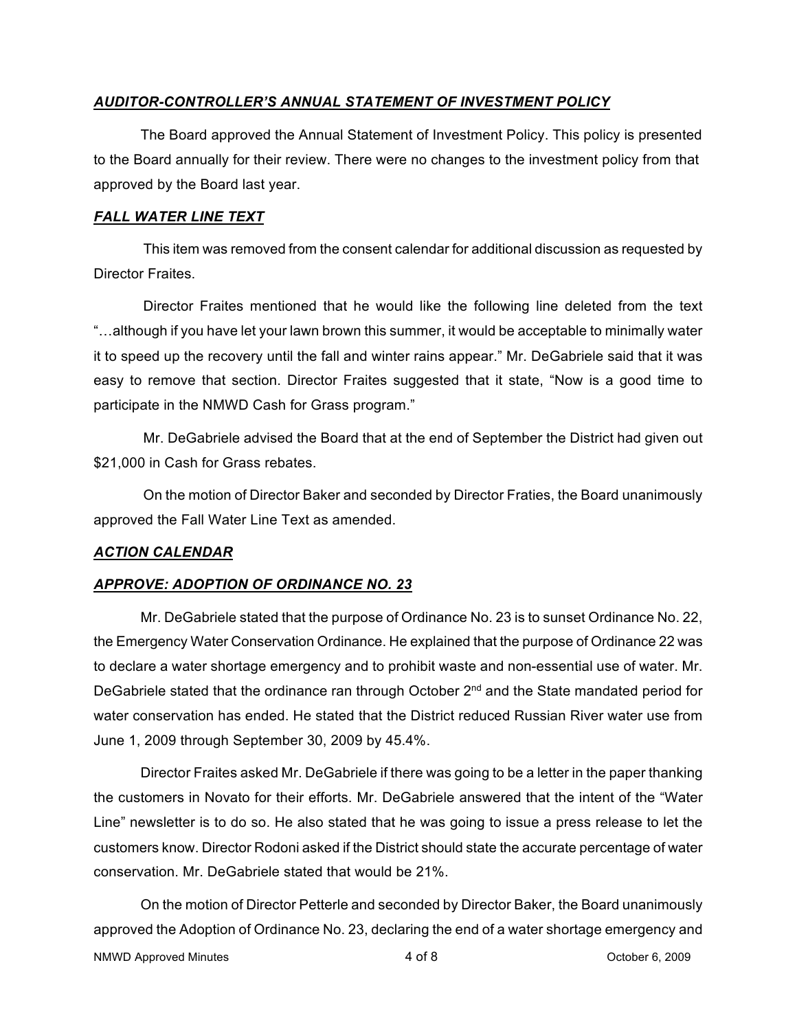## *AUDITOR-CONTROLLER'S ANNUAL STATEMENT OF INVESTMENT POLICY*

The Board approved the Annual Statement of Investment Policy. This policy is presented to the Board annually for their review. There were no changes to the investment policy from that approved by the Board last year.

#### *FALL WATER LINE TEXT*

This item was removed from the consent calendar for additional discussion as requested by Director Fraites.

Director Fraites mentioned that he would like the following line deleted from the text "…although if you have let your lawn brown this summer, it would be acceptable to minimally water it to speed up the recovery until the fall and winter rains appear." Mr. DeGabriele said that it was easy to remove that section. Director Fraites suggested that it state, "Now is a good time to participate in the NMWD Cash for Grass program."

Mr. DeGabriele advised the Board that at the end of September the District had given out \$21,000 in Cash for Grass rebates.

On the motion of Director Baker and seconded by Director Fraties, the Board unanimously approved the Fall Water Line Text as amended.

## *ACTION CALENDAR*

## *APPROVE: ADOPTION OF ORDINANCE NO. 23*

Mr. DeGabriele stated that the purpose of Ordinance No. 23 is to sunset Ordinance No. 22, the Emergency Water Conservation Ordinance. He explained that the purpose of Ordinance 22 was to declare a water shortage emergency and to prohibit waste and non-essential use of water. Mr. DeGabriele stated that the ordinance ran through October  $2<sup>nd</sup>$  and the State mandated period for water conservation has ended. He stated that the District reduced Russian River water use from June 1, 2009 through September 30, 2009 by 45.4%.

Director Fraites asked Mr. DeGabriele if there was going to be a letter in the paper thanking the customers in Novato for their efforts. Mr. DeGabriele answered that the intent of the "Water Line" newsletter is to do so. He also stated that he was going to issue a press release to let the customers know. Director Rodoni asked if the District should state the accurate percentage of water conservation. Mr. DeGabriele stated that would be 21%.

On the motion of Director Petterle and seconded by Director Baker, the Board unanimously approved the Adoption of Ordinance No. 23, declaring the end of a water shortage emergency and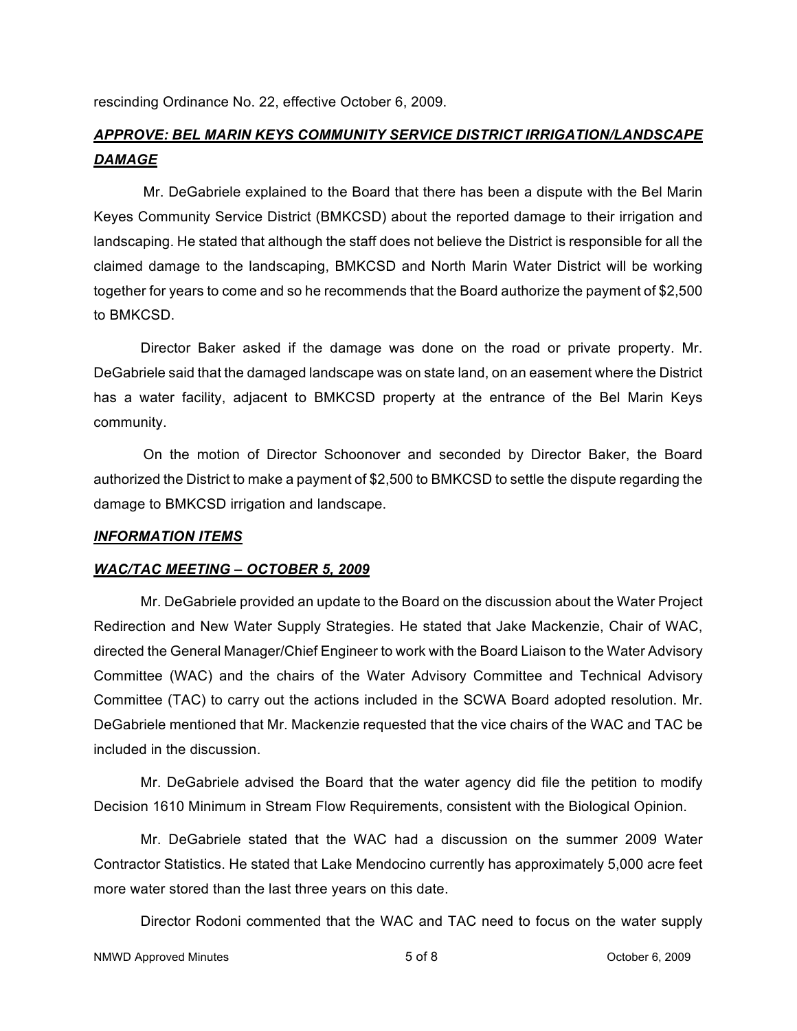rescinding Ordinance No. 22, effective October 6, 2009.

# *APPROVE: BEL MARIN KEYS COMMUNITY SERVICE DISTRICT IRRIGATION/LANDSCAPE DAMAGE*

Mr. DeGabriele explained to the Board that there has been a dispute with the Bel Marin Keyes Community Service District (BMKCSD) about the reported damage to their irrigation and landscaping. He stated that although the staff does not believe the District is responsible for all the claimed damage to the landscaping, BMKCSD and North Marin Water District will be working together for years to come and so he recommends that the Board authorize the payment of \$2,500 to BMKCSD.

Director Baker asked if the damage was done on the road or private property. Mr. DeGabriele said that the damaged landscape was on state land, on an easement where the District has a water facility, adjacent to BMKCSD property at the entrance of the Bel Marin Keys community.

On the motion of Director Schoonover and seconded by Director Baker, the Board authorized the District to make a payment of \$2,500 to BMKCSD to settle the dispute regarding the damage to BMKCSD irrigation and landscape.

#### *INFORMATION ITEMS*

#### *WAC/TAC MEETING – OCTOBER 5, 2009*

Mr. DeGabriele provided an update to the Board on the discussion about the Water Project Redirection and New Water Supply Strategies. He stated that Jake Mackenzie, Chair of WAC, directed the General Manager/Chief Engineer to work with the Board Liaison to the Water Advisory Committee (WAC) and the chairs of the Water Advisory Committee and Technical Advisory Committee (TAC) to carry out the actions included in the SCWA Board adopted resolution. Mr. DeGabriele mentioned that Mr. Mackenzie requested that the vice chairs of the WAC and TAC be included in the discussion.

Mr. DeGabriele advised the Board that the water agency did file the petition to modify Decision 1610 Minimum in Stream Flow Requirements, consistent with the Biological Opinion.

Mr. DeGabriele stated that the WAC had a discussion on the summer 2009 Water Contractor Statistics. He stated that Lake Mendocino currently has approximately 5,000 acre feet more water stored than the last three years on this date.

Director Rodoni commented that the WAC and TAC need to focus on the water supply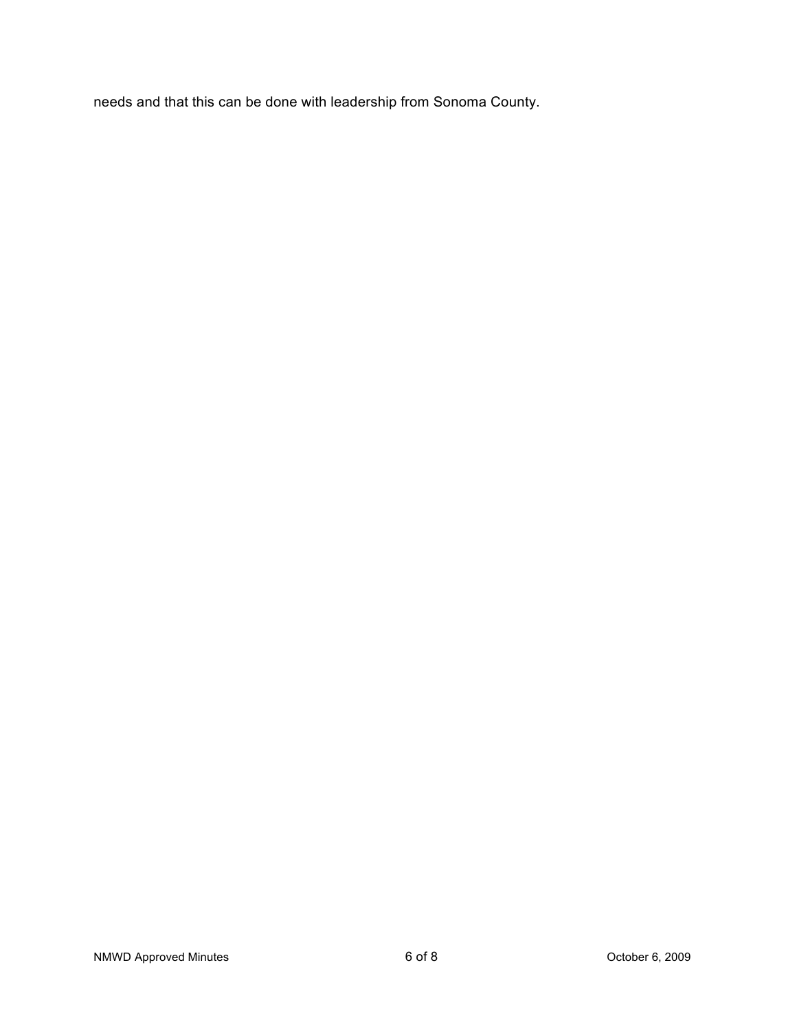needs and that this can be done with leadership from Sonoma County.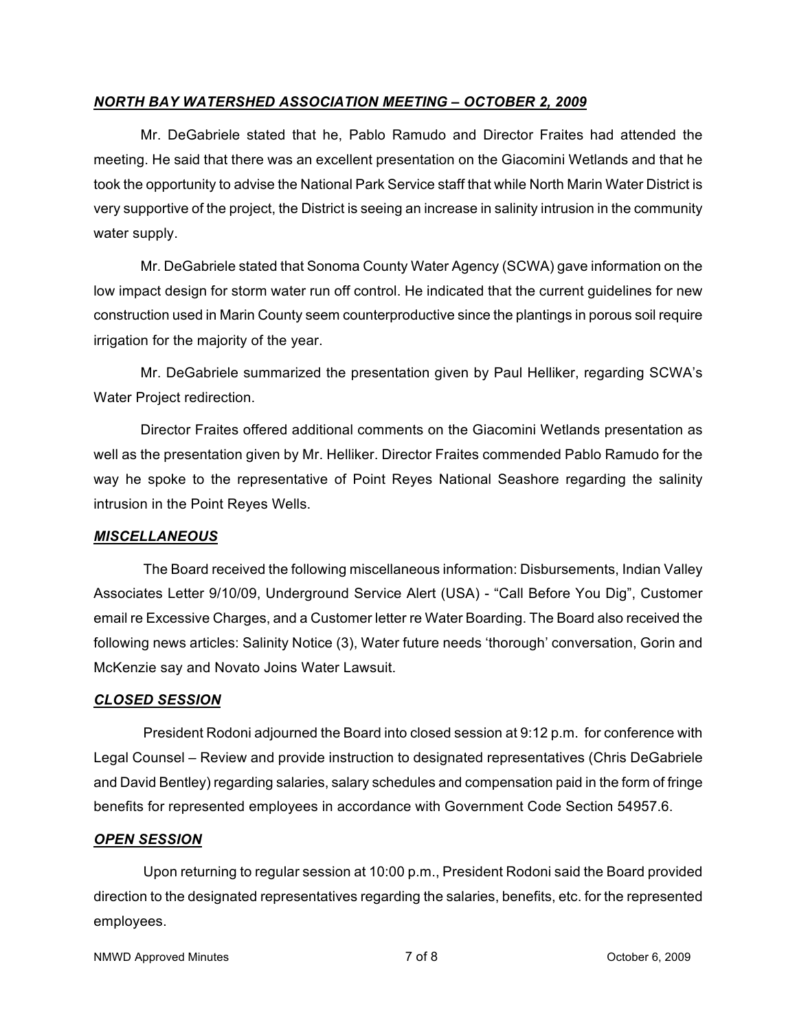## *NORTH BAY WATERSHED ASSOCIATION MEETING – OCTOBER 2, 2009*

Mr. DeGabriele stated that he, Pablo Ramudo and Director Fraites had attended the meeting. He said that there was an excellent presentation on the Giacomini Wetlands and that he took the opportunity to advise the National Park Service staff that while North Marin Water District is very supportive of the project, the District is seeing an increase in salinity intrusion in the community water supply.

Mr. DeGabriele stated that Sonoma County Water Agency (SCWA) gave information on the low impact design for storm water run off control. He indicated that the current guidelines for new construction used in Marin County seem counterproductive since the plantings in porous soil require irrigation for the majority of the year.

Mr. DeGabriele summarized the presentation given by Paul Helliker, regarding SCWA's Water Project redirection.

Director Fraites offered additional comments on the Giacomini Wetlands presentation as well as the presentation given by Mr. Helliker. Director Fraites commended Pablo Ramudo for the way he spoke to the representative of Point Reyes National Seashore regarding the salinity intrusion in the Point Reyes Wells.

## *MISCELLANEOUS*

The Board received the following miscellaneous information: Disbursements, Indian Valley Associates Letter 9/10/09, Underground Service Alert (USA) - "Call Before You Dig", Customer email re Excessive Charges, and a Customer letter re Water Boarding. The Board also received the following news articles: Salinity Notice (3), Water future needs 'thorough' conversation, Gorin and McKenzie say and Novato Joins Water Lawsuit.

#### *CLOSED SESSION*

President Rodoni adjourned the Board into closed session at 9:12 p.m. for conference with Legal Counsel – Review and provide instruction to designated representatives (Chris DeGabriele and David Bentley) regarding salaries, salary schedules and compensation paid in the form of fringe benefits for represented employees in accordance with Government Code Section 54957.6.

#### *OPEN SESSION*

Upon returning to regular session at 10:00 p.m., President Rodoni said the Board provided direction to the designated representatives regarding the salaries, benefits, etc. for the represented employees.

```
NMWD Approved Minutes and the control of \sigma of 8 and \sigma of 8 and \sigma October 6, 2009
```